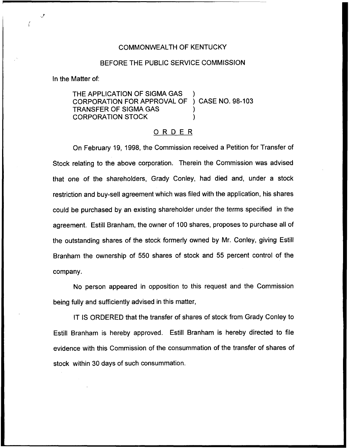## COMMONWEALTH OF KENTUCKY

## BEFORE THE PUBLIC SERVICE COMMISSION

In the Matter of:

THE APPLICATION OF SIGMA GAS CORPORATION FOR APPROVAL OF ) CASE NO. 98-103 TRANSFER OF SIGMA GAS ) CORPORATION STOCK )

## ORDER

On February 19, 1998, the Commission received a Petition for Transfer of Stock relating to the above corporation. Therein the Commission was advised that one of the shareholders, Grady Conley, had died and, under a stock restriction and buy-sell agreement which was filed with the application, his shares could be purchased by an existing shareholder under the terms specified in the agreement. Estill Branham, the owner of 100 shares, proposes to purchase all of the outstanding shares of the stock formerly owned by Mr. Conley, giving Estill Branham the ownership of 550 shares of stock and 55 percent control of the company.

No person appeared in opposition to this request and the Commission being fully and sufficiently advised in this matter,

IT IS ORDERED that the transfer of shares of stock from Grady Conley to Estill Branham is hereby approved. Estill Branham is hereby directed to file evidence with this Commission of the consummation of the transfer of shares of stock within 30 days of such consummation.